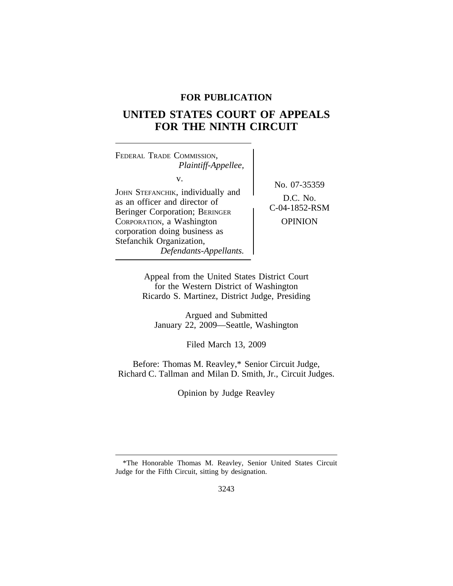# **FOR PUBLICATION**

# **UNITED STATES COURT OF APPEALS FOR THE NINTH CIRCUIT**

<sup>F</sup>EDERAL TRADE COMMISSION, *Plaintiff-Appellee,* v. JOHN STEFANCHIK, individually and Berinson, marriagning and<br>as an officer and director of<br>D.C. No.<br>C-04-1852-RSM Beringer Corporation; BERINGER CORPORATION, a Washington **CORPORATION** corporation doing business as Stefanchik Organization, *Defendants-Appellants.*

No. 07-35359

Appeal from the United States District Court for the Western District of Washington Ricardo S. Martinez, District Judge, Presiding

Argued and Submitted January 22, 2009—Seattle, Washington

Filed March 13, 2009

Before: Thomas M. Reavley,\* Senior Circuit Judge, Richard C. Tallman and Milan D. Smith, Jr., Circuit Judges.

Opinion by Judge Reavley

<sup>\*</sup>The Honorable Thomas M. Reavley, Senior United States Circuit Judge for the Fifth Circuit, sitting by designation.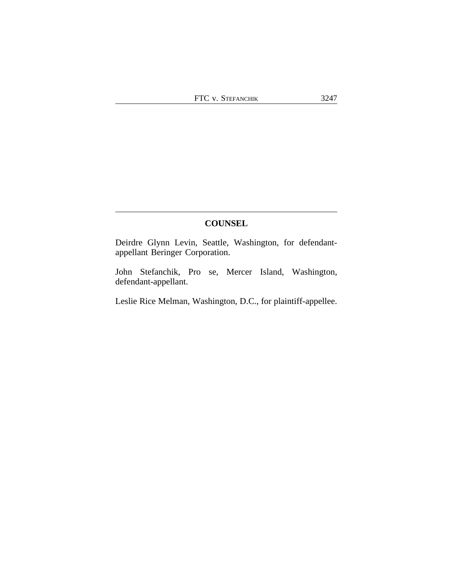# **COUNSEL**

Deirdre Glynn Levin, Seattle, Washington, for defendantappellant Beringer Corporation.

John Stefanchik, Pro se, Mercer Island, Washington, defendant-appellant.

Leslie Rice Melman, Washington, D.C., for plaintiff-appellee.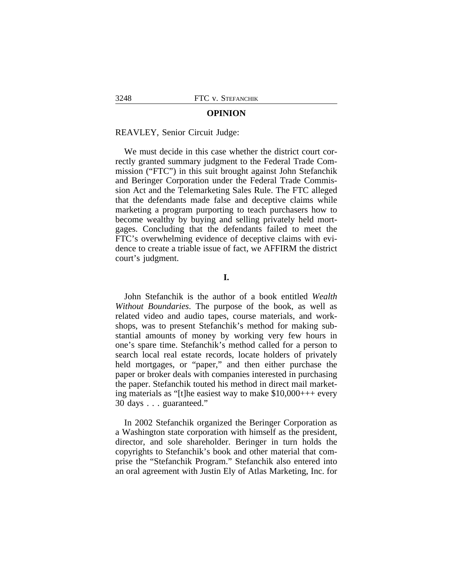#### **OPINION**

#### REAVLEY, Senior Circuit Judge:

We must decide in this case whether the district court correctly granted summary judgment to the Federal Trade Commission ("FTC") in this suit brought against John Stefanchik and Beringer Corporation under the Federal Trade Commission Act and the Telemarketing Sales Rule. The FTC alleged that the defendants made false and deceptive claims while marketing a program purporting to teach purchasers how to become wealthy by buying and selling privately held mortgages. Concluding that the defendants failed to meet the FTC's overwhelming evidence of deceptive claims with evidence to create a triable issue of fact, we AFFIRM the district court's judgment.

## **I.**

John Stefanchik is the author of a book entitled *Wealth Without Boundaries*. The purpose of the book, as well as related video and audio tapes, course materials, and workshops, was to present Stefanchik's method for making substantial amounts of money by working very few hours in one's spare time. Stefanchik's method called for a person to search local real estate records, locate holders of privately held mortgages, or "paper," and then either purchase the paper or broker deals with companies interested in purchasing the paper. Stefanchik touted his method in direct mail marketing materials as "[t]he easiest way to make \$10,000+++ every 30 days . . . guaranteed."

In 2002 Stefanchik organized the Beringer Corporation as a Washington state corporation with himself as the president, director, and sole shareholder. Beringer in turn holds the copyrights to Stefanchik's book and other material that comprise the "Stefanchik Program." Stefanchik also entered into an oral agreement with Justin Ely of Atlas Marketing, Inc. for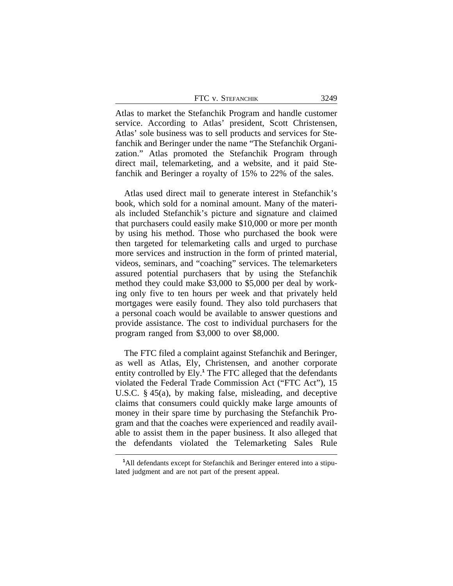| FTC V. STEFANCHIK | 3249 |
|-------------------|------|
|-------------------|------|

Atlas to market the Stefanchik Program and handle customer service. According to Atlas' president, Scott Christensen, Atlas' sole business was to sell products and services for Stefanchik and Beringer under the name "The Stefanchik Organization." Atlas promoted the Stefanchik Program through direct mail, telemarketing, and a website, and it paid Stefanchik and Beringer a royalty of 15% to 22% of the sales.

Atlas used direct mail to generate interest in Stefanchik's book, which sold for a nominal amount. Many of the materials included Stefanchik's picture and signature and claimed that purchasers could easily make \$10,000 or more per month by using his method. Those who purchased the book were then targeted for telemarketing calls and urged to purchase more services and instruction in the form of printed material, videos, seminars, and "coaching" services. The telemarketers assured potential purchasers that by using the Stefanchik method they could make \$3,000 to \$5,000 per deal by working only five to ten hours per week and that privately held mortgages were easily found. They also told purchasers that a personal coach would be available to answer questions and provide assistance. The cost to individual purchasers for the program ranged from \$3,000 to over \$8,000.

The FTC filed a complaint against Stefanchik and Beringer, as well as Atlas, Ely, Christensen, and another corporate entity controlled by Ely.**<sup>1</sup>** The FTC alleged that the defendants violated the Federal Trade Commission Act ("FTC Act"), 15 U.S.C. § 45(a), by making false, misleading, and deceptive claims that consumers could quickly make large amounts of money in their spare time by purchasing the Stefanchik Program and that the coaches were experienced and readily available to assist them in the paper business. It also alleged that the defendants violated the Telemarketing Sales Rule

**<sup>1</sup>**All defendants except for Stefanchik and Beringer entered into a stipulated judgment and are not part of the present appeal.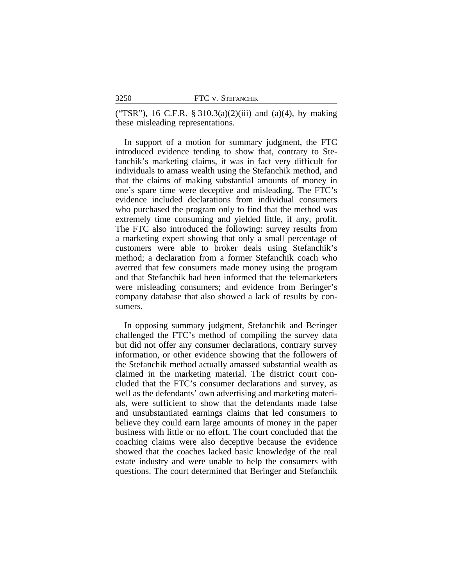("TSR"), 16 C.F.R.  $\S 310.3(a)(2)(iii)$  and  $(a)(4)$ , by making these misleading representations.

In support of a motion for summary judgment, the FTC introduced evidence tending to show that, contrary to Stefanchik's marketing claims, it was in fact very difficult for individuals to amass wealth using the Stefanchik method, and that the claims of making substantial amounts of money in one's spare time were deceptive and misleading. The FTC's evidence included declarations from individual consumers who purchased the program only to find that the method was extremely time consuming and yielded little, if any, profit. The FTC also introduced the following: survey results from a marketing expert showing that only a small percentage of customers were able to broker deals using Stefanchik's method; a declaration from a former Stefanchik coach who averred that few consumers made money using the program and that Stefanchik had been informed that the telemarketers were misleading consumers; and evidence from Beringer's company database that also showed a lack of results by consumers.

In opposing summary judgment, Stefanchik and Beringer challenged the FTC's method of compiling the survey data but did not offer any consumer declarations, contrary survey information, or other evidence showing that the followers of the Stefanchik method actually amassed substantial wealth as claimed in the marketing material. The district court concluded that the FTC's consumer declarations and survey, as well as the defendants' own advertising and marketing materials, were sufficient to show that the defendants made false and unsubstantiated earnings claims that led consumers to believe they could earn large amounts of money in the paper business with little or no effort. The court concluded that the coaching claims were also deceptive because the evidence showed that the coaches lacked basic knowledge of the real estate industry and were unable to help the consumers with questions. The court determined that Beringer and Stefanchik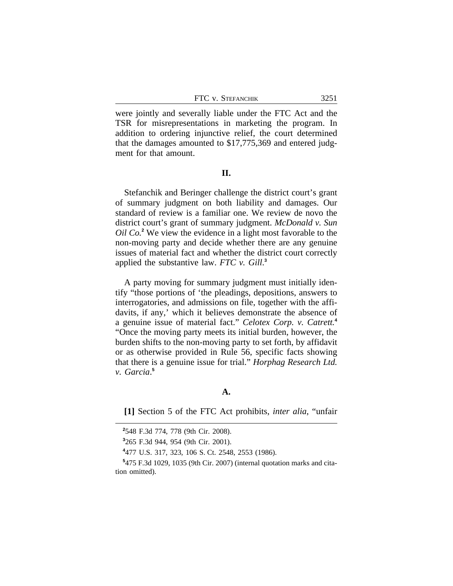FTC v. STEFANCHIK 3251

were jointly and severally liable under the FTC Act and the TSR for misrepresentations in marketing the program. In addition to ordering injunctive relief, the court determined that the damages amounted to \$17,775,369 and entered judgment for that amount.

**II.**

Stefanchik and Beringer challenge the district court's grant of summary judgment on both liability and damages. Our standard of review is a familiar one. We review de novo the district court's grant of summary judgment. *McDonald v. Sun Oil Co.***<sup>2</sup>** We view the evidence in a light most favorable to the non-moving party and decide whether there are any genuine issues of material fact and whether the district court correctly applied the substantive law. *FTC v. Gill*. **3**

A party moving for summary judgment must initially identify "those portions of 'the pleadings, depositions, answers to interrogatories, and admissions on file, together with the affidavits, if any,' which it believes demonstrate the absence of a genuine issue of material fact." *Celotex Corp. v. Catrett.***<sup>4</sup>** "Once the moving party meets its initial burden, however, the burden shifts to the non-moving party to set forth, by affidavit or as otherwise provided in Rule 56, specific facts showing that there is a genuine issue for trial." *Horphag Research Ltd. v. Garcia*. **5**

#### **A.**

**[1]** Section 5 of the FTC Act prohibits, *inter alia*, "unfair

**<sup>2</sup>** 548 F.3d 774, 778 (9th Cir. 2008).

**<sup>3</sup>** 265 F.3d 944, 954 (9th Cir. 2001).

**<sup>4</sup>** 477 U.S. 317, 323, 106 S. Ct. 2548, 2553 (1986).

**<sup>5</sup>** 475 F.3d 1029, 1035 (9th Cir. 2007) (internal quotation marks and citation omitted).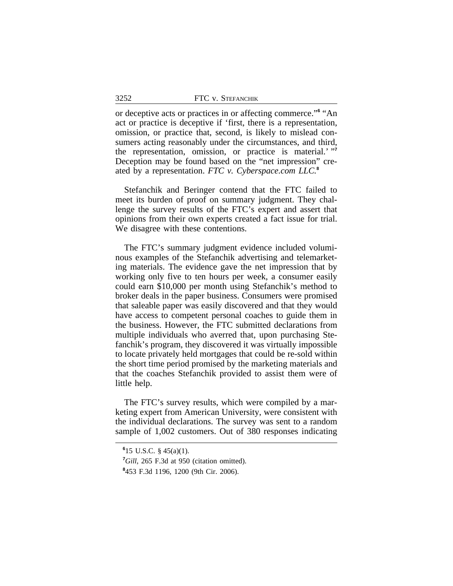| 3252 | FTC v. STEFANCHIK |
|------|-------------------|
|      |                   |

or deceptive acts or practices in or affecting commerce."<sup>6</sup> "An act or practice is deceptive if 'first, there is a representation, omission, or practice that, second, is likely to mislead consumers acting reasonably under the circumstances, and third, the representation, omission, or practice is material.' " **7** Deception may be found based on the "net impression" created by a representation. *FTC v. Cyberspace.com LLC.***<sup>8</sup>**

Stefanchik and Beringer contend that the FTC failed to meet its burden of proof on summary judgment. They challenge the survey results of the FTC's expert and assert that opinions from their own experts created a fact issue for trial. We disagree with these contentions.

The FTC's summary judgment evidence included voluminous examples of the Stefanchik advertising and telemarketing materials. The evidence gave the net impression that by working only five to ten hours per week, a consumer easily could earn \$10,000 per month using Stefanchik's method to broker deals in the paper business. Consumers were promised that saleable paper was easily discovered and that they would have access to competent personal coaches to guide them in the business. However, the FTC submitted declarations from multiple individuals who averred that, upon purchasing Stefanchik's program, they discovered it was virtually impossible to locate privately held mortgages that could be re-sold within the short time period promised by the marketing materials and that the coaches Stefanchik provided to assist them were of little help.

The FTC's survey results, which were compiled by a marketing expert from American University, were consistent with the individual declarations. The survey was sent to a random sample of 1,002 customers. Out of 380 responses indicating

**<sup>6</sup>** 15 U.S.C. § 45(a)(1).

**<sup>7</sup>***Gill*, 265 F.3d at 950 (citation omitted).

**<sup>8</sup>** 453 F.3d 1196, 1200 (9th Cir. 2006).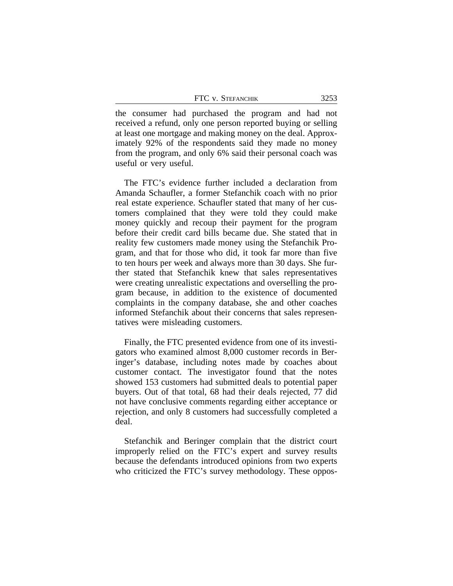FTC v. STEFANCHIK 3253

the consumer had purchased the program and had not received a refund, only one person reported buying or selling at least one mortgage and making money on the deal. Approximately 92% of the respondents said they made no money from the program, and only 6% said their personal coach was useful or very useful.

The FTC's evidence further included a declaration from Amanda Schaufler, a former Stefanchik coach with no prior real estate experience. Schaufler stated that many of her customers complained that they were told they could make money quickly and recoup their payment for the program before their credit card bills became due. She stated that in reality few customers made money using the Stefanchik Program, and that for those who did, it took far more than five to ten hours per week and always more than 30 days. She further stated that Stefanchik knew that sales representatives were creating unrealistic expectations and overselling the program because, in addition to the existence of documented complaints in the company database, she and other coaches informed Stefanchik about their concerns that sales representatives were misleading customers.

Finally, the FTC presented evidence from one of its investigators who examined almost 8,000 customer records in Beringer's database, including notes made by coaches about customer contact. The investigator found that the notes showed 153 customers had submitted deals to potential paper buyers. Out of that total, 68 had their deals rejected, 77 did not have conclusive comments regarding either acceptance or rejection, and only 8 customers had successfully completed a deal.

Stefanchik and Beringer complain that the district court improperly relied on the FTC's expert and survey results because the defendants introduced opinions from two experts who criticized the FTC's survey methodology. These oppos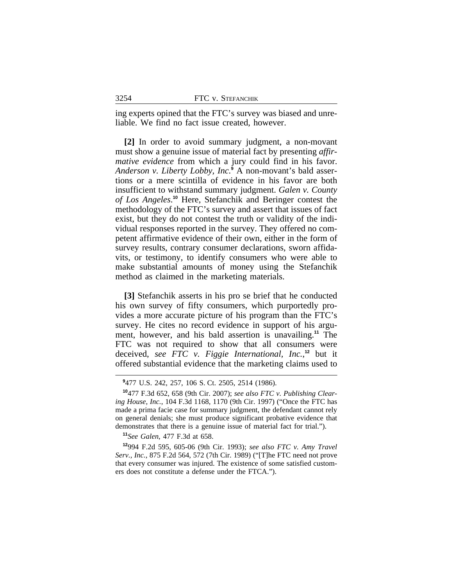ing experts opined that the FTC's survey was biased and unreliable. We find no fact issue created, however.

**[2]** In order to avoid summary judgment, a non-movant must show a genuine issue of material fact by presenting *affirmative evidence* from which a jury could find in his favor. *Anderson v. Liberty Lobby, Inc.***<sup>9</sup>** A non-movant's bald assertions or a mere scintilla of evidence in his favor are both insufficient to withstand summary judgment. *Galen v. County of Los Angeles*. **<sup>10</sup>** Here, Stefanchik and Beringer contest the methodology of the FTC's survey and assert that issues of fact exist, but they do not contest the truth or validity of the individual responses reported in the survey. They offered no competent affirmative evidence of their own, either in the form of survey results, contrary consumer declarations, sworn affidavits, or testimony, to identify consumers who were able to make substantial amounts of money using the Stefanchik method as claimed in the marketing materials.

**[3]** Stefanchik asserts in his pro se brief that he conducted his own survey of fifty consumers, which purportedly provides a more accurate picture of his program than the FTC's survey. He cites no record evidence in support of his argument, however, and his bald assertion is unavailing.**<sup>11</sup>** The FTC was not required to show that all consumers were deceived, *see FTC v. Figgie International, Inc.*, **<sup>12</sup>** but it offered substantial evidence that the marketing claims used to

**<sup>11</sup>***See Galen*, 477 F.3d at 658.

**<sup>9</sup>** 477 U.S. 242, 257, 106 S. Ct. 2505, 2514 (1986).

**<sup>10</sup>**477 F.3d 652, 658 (9th Cir. 2007); *see also FTC v. Publishing Clearing House, Inc.*, 104 F.3d 1168, 1170 (9th Cir. 1997) ("Once the FTC has made a prima facie case for summary judgment, the defendant cannot rely on general denials; she must produce significant probative evidence that demonstrates that there is a genuine issue of material fact for trial.").

**<sup>12</sup>**994 F.2d 595, 605-06 (9th Cir. 1993); *see also FTC v. Amy Travel Serv., Inc.*, 875 F.2d 564, 572 (7th Cir. 1989) ("[T]he FTC need not prove that every consumer was injured. The existence of some satisfied customers does not constitute a defense under the FTCA.").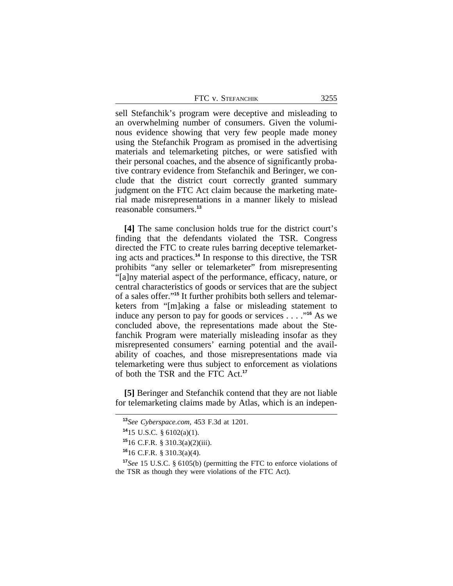| FTC v. Stefanchik | 3255 |
|-------------------|------|
|-------------------|------|

sell Stefanchik's program were deceptive and misleading to an overwhelming number of consumers. Given the voluminous evidence showing that very few people made money using the Stefanchik Program as promised in the advertising materials and telemarketing pitches, or were satisfied with their personal coaches, and the absence of significantly probative contrary evidence from Stefanchik and Beringer, we conclude that the district court correctly granted summary judgment on the FTC Act claim because the marketing material made misrepresentations in a manner likely to mislead reasonable consumers.**<sup>13</sup>**

**[4]** The same conclusion holds true for the district court's finding that the defendants violated the TSR. Congress directed the FTC to create rules barring deceptive telemarketing acts and practices.**<sup>14</sup>** In response to this directive, the TSR prohibits "any seller or telemarketer" from misrepresenting "[a]ny material aspect of the performance, efficacy, nature, or central characteristics of goods or services that are the subject of a sales offer." **15** It further prohibits both sellers and telemarketers from "[m]aking a false or misleading statement to induce any person to pay for goods or services . . . ." **<sup>16</sup>** As we concluded above, the representations made about the Stefanchik Program were materially misleading insofar as they misrepresented consumers' earning potential and the availability of coaches, and those misrepresentations made via telemarketing were thus subject to enforcement as violations of both the TSR and the FTC Act.**<sup>17</sup>**

**[5]** Beringer and Stefanchik contend that they are not liable for telemarketing claims made by Atlas, which is an indepen-

**<sup>16</sup>**16 C.F.R. § 310.3(a)(4).

**<sup>13</sup>***See Cyberspace.com*, 453 F.3d at 1201.

**<sup>14</sup>**15 U.S.C. § 6102(a)(1).

**<sup>15</sup>**16 C.F.R. § 310.3(a)(2)(iii).

**<sup>17</sup>***See* 15 U.S.C. § 6105(b) (permitting the FTC to enforce violations of the TSR as though they were violations of the FTC Act).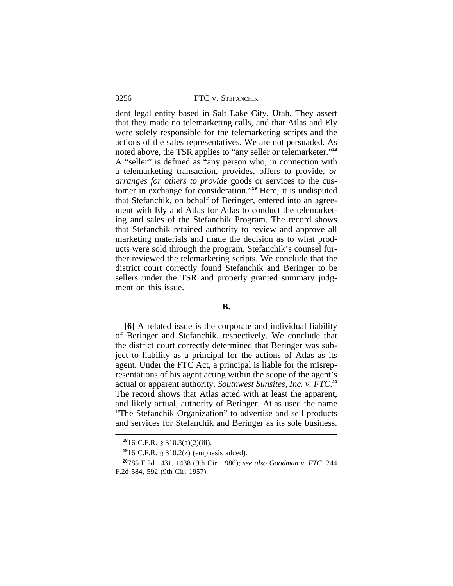3256 FTC v. STEFANCHIK

dent legal entity based in Salt Lake City, Utah. They assert that they made no telemarketing calls, and that Atlas and Ely were solely responsible for the telemarketing scripts and the actions of the sales representatives. We are not persuaded. As noted above, the TSR applies to "any seller or telemarketer." **18** A "seller" is defined as "any person who, in connection with a telemarketing transaction, provides, offers to provide, *or arranges for others to provide* goods or services to the customer in exchange for consideration." **<sup>19</sup>** Here, it is undisputed that Stefanchik, on behalf of Beringer, entered into an agreement with Ely and Atlas for Atlas to conduct the telemarketing and sales of the Stefanchik Program. The record shows that Stefanchik retained authority to review and approve all marketing materials and made the decision as to what products were sold through the program. Stefanchik's counsel further reviewed the telemarketing scripts. We conclude that the district court correctly found Stefanchik and Beringer to be sellers under the TSR and properly granted summary judgment on this issue.

## **B.**

**[6]** A related issue is the corporate and individual liability of Beringer and Stefanchik, respectively. We conclude that the district court correctly determined that Beringer was subject to liability as a principal for the actions of Atlas as its agent. Under the FTC Act, a principal is liable for the misrepresentations of his agent acting within the scope of the agent's actual or apparent authority. *Southwest Sunsites, Inc. v. FTC*. **20** The record shows that Atlas acted with at least the apparent, and likely actual, authority of Beringer. Atlas used the name "The Stefanchik Organization" to advertise and sell products and services for Stefanchik and Beringer as its sole business.

**<sup>18</sup>**16 C.F.R. § 310.3(a)(2)(iii).

**<sup>19</sup>**16 C.F.R. § 310.2(z) (emphasis added).

**<sup>20</sup>**785 F.2d 1431, 1438 (9th Cir. 1986); *see also Goodman v. FTC*, 244 F.2d 584, 592 (9th Cir. 1957).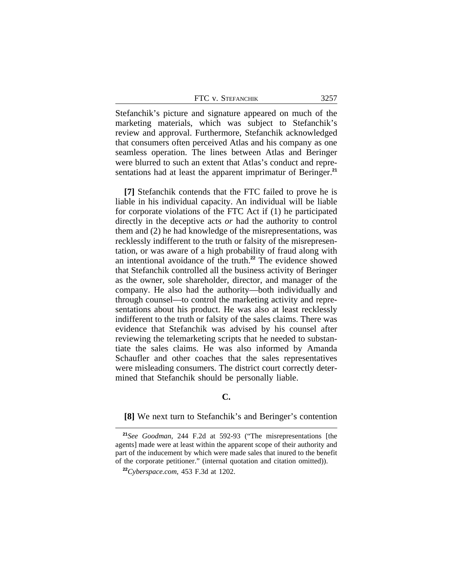Stefanchik's picture and signature appeared on much of the marketing materials, which was subject to Stefanchik's review and approval. Furthermore, Stefanchik acknowledged that consumers often perceived Atlas and his company as one seamless operation. The lines between Atlas and Beringer were blurred to such an extent that Atlas's conduct and representations had at least the apparent imprimatur of Beringer.**<sup>21</sup>**

**[7]** Stefanchik contends that the FTC failed to prove he is liable in his individual capacity. An individual will be liable for corporate violations of the FTC Act if (1) he participated directly in the deceptive acts *or* had the authority to control them and (2) he had knowledge of the misrepresentations, was recklessly indifferent to the truth or falsity of the misrepresentation, or was aware of a high probability of fraud along with an intentional avoidance of the truth.**<sup>22</sup>** The evidence showed that Stefanchik controlled all the business activity of Beringer as the owner, sole shareholder, director, and manager of the company. He also had the authority—both individually and through counsel—to control the marketing activity and representations about his product. He was also at least recklessly indifferent to the truth or falsity of the sales claims. There was evidence that Stefanchik was advised by his counsel after reviewing the telemarketing scripts that he needed to substantiate the sales claims. He was also informed by Amanda Schaufler and other coaches that the sales representatives were misleading consumers. The district court correctly determined that Stefanchik should be personally liable.

### **C.**

#### **[8]** We next turn to Stefanchik's and Beringer's contention

**<sup>21</sup>***See Goodman*, 244 F.2d at 592-93 ("The misrepresentations [the agents] made were at least within the apparent scope of their authority and part of the inducement by which were made sales that inured to the benefit of the corporate petitioner." (internal quotation and citation omitted)).

**<sup>22</sup>***Cyberspace.com*, 453 F.3d at 1202.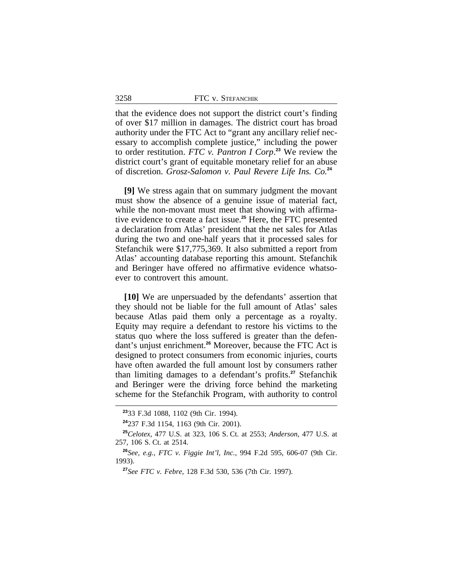|  | FTC V. STEFANCHIK |  |
|--|-------------------|--|
|--|-------------------|--|

that the evidence does not support the district court's finding of over \$17 million in damages. The district court has broad authority under the FTC Act to "grant any ancillary relief necessary to accomplish complete justice," including the power to order restitution. *FTC v. Pantron I Corp*. **<sup>23</sup>** We review the district court's grant of equitable monetary relief for an abuse of discretion. *Grosz-Salomon v. Paul Revere Life Ins. Co.***<sup>24</sup>**

**[9]** We stress again that on summary judgment the movant must show the absence of a genuine issue of material fact, while the non-movant must meet that showing with affirmative evidence to create a fact issue.**<sup>25</sup>** Here, the FTC presented a declaration from Atlas' president that the net sales for Atlas during the two and one-half years that it processed sales for Stefanchik were \$17,775,369. It also submitted a report from Atlas' accounting database reporting this amount. Stefanchik and Beringer have offered no affirmative evidence whatsoever to controvert this amount.

**[10]** We are unpersuaded by the defendants' assertion that they should not be liable for the full amount of Atlas' sales because Atlas paid them only a percentage as a royalty. Equity may require a defendant to restore his victims to the status quo where the loss suffered is greater than the defendant's unjust enrichment.**<sup>26</sup>** Moreover, because the FTC Act is designed to protect consumers from economic injuries, courts have often awarded the full amount lost by consumers rather than limiting damages to a defendant's profits.**<sup>27</sup>** Stefanchik and Beringer were the driving force behind the marketing scheme for the Stefanchik Program, with authority to control

3258

**<sup>23</sup>**33 F.3d 1088, 1102 (9th Cir. 1994).

**<sup>24</sup>**237 F.3d 1154, 1163 (9th Cir. 2001).

**<sup>25</sup>***Celotex*, 477 U.S. at 323, 106 S. Ct. at 2553; *Anderson*, 477 U.S. at 257, 106 S. Ct. at 2514.

**<sup>26</sup>***See, e.g.*, *FTC v. Figgie Int'l, Inc.*, 994 F.2d 595, 606-07 (9th Cir. 1993).

**<sup>27</sup>***See FTC v. Febre*, 128 F.3d 530, 536 (7th Cir. 1997).